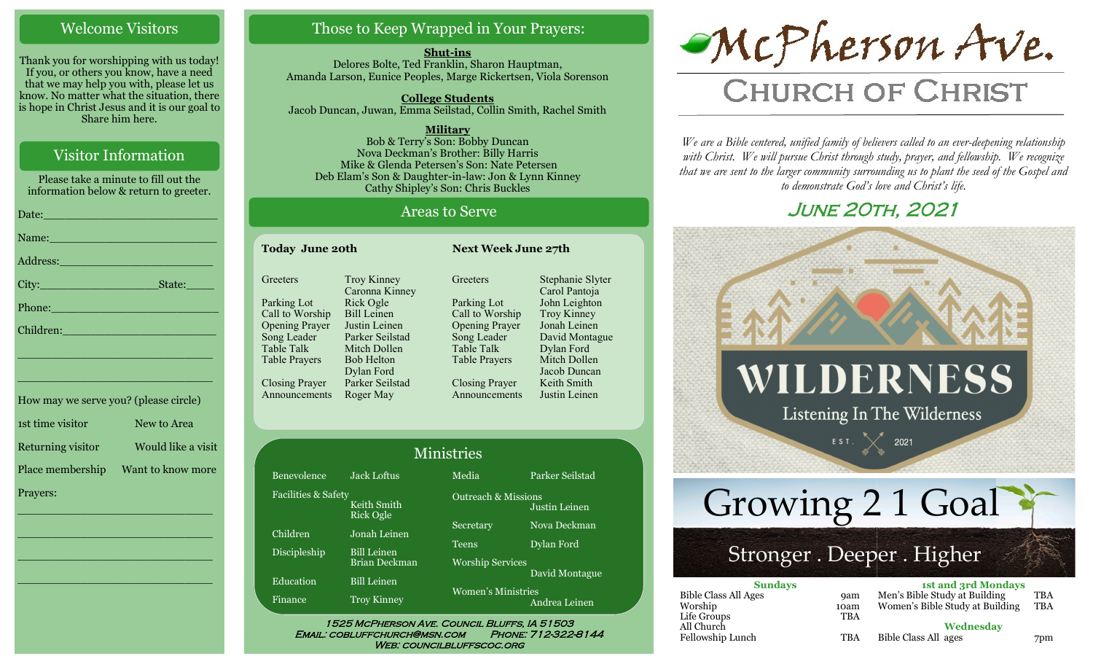## Welcome Visitors

Thank you for worshipping with us today! If you, or others you know, have a need that we may help you with, please let us know. No matter what the situation, there is hope in Christ Jesus and it is our goal to Share him here.

## Visitor Information

Please take a minute to fill out the information below & return to greeter.

| Date: No. 1996. The Contract of the Contract of the Contract of the Contract of the Contract of the Contract of the Contract of the Contract of the Contract of the Contract of the Contract of the Contract of the Contract o |  |
|--------------------------------------------------------------------------------------------------------------------------------------------------------------------------------------------------------------------------------|--|
| Name: Name and the second state of the second state of the second state of the second state of the second state of the second state of the second state of the second state of the second state of the second state of the sec |  |
| Address: 2008 - 2008 - 2008 - 2010 - 2010 - 2010 - 2011 - 2012 - 2014 - 2012 - 2014 - 2012 - 2014 - 2014 - 20                                                                                                                  |  |
|                                                                                                                                                                                                                                |  |
| Phone: New York Changes and The Changes of the Changes of the Changes of the Changes of the Changes of the Changes of the Changes of the Changes of the Changes of the Changes of the Changes of the Changes of the Changes of |  |
| Children: Maria Children Maria Children and Children Children and Children and Children and Children and Child                                                                                                                 |  |
| <u> 1989 - Johann Stein, marwolaethau a bhann an t-Amhain an t-Amhain an t-Amhain an t-Amhain an t-Amhain an t-A</u>                                                                                                           |  |
| <u> 1989 - Johann John Stone, markin fizikar (</u>                                                                                                                                                                             |  |
| How may we serve you? (please circle)                                                                                                                                                                                          |  |

| $110 W$ $11W$ , $11000W$ , $10W$ , $1010W$ |                    |
|--------------------------------------------|--------------------|
| 1st time visitor                           | New to Area        |
| Returning visitor                          | Would like a visit |
| Place membership                           | Want to know more  |
| Prayers:                                   |                    |

\_\_\_\_\_\_\_\_\_\_\_\_\_\_\_\_\_\_\_\_\_\_\_\_\_\_\_\_

\_\_\_\_\_\_\_\_\_\_\_\_\_\_\_\_\_\_\_\_\_\_\_\_\_\_\_\_

\_\_\_\_\_\_\_\_\_\_\_\_\_\_\_\_\_\_\_\_\_\_\_\_\_\_\_\_

\_\_\_\_\_\_\_\_\_\_\_\_\_\_\_\_\_\_\_\_\_\_\_\_\_\_\_\_

## Those to Keep Wrapped in Your Prayers:

**Shut-ins** Delores Bolte, Ted Franklin, Sharon Hauptman, Amanda Larson, Eunice Peoples, Marge Rickertsen, Viola Sorenson

**College Students**  Jacob Duncan, Juwan, Emma Seilstad, Collin Smith, Rachel Smith

**Military** Bob & Terry's Son: Bobby Duncan Nova Deckman's Brother: Billy Harris Mike & Glenda Petersen's Son: Nate Petersen Deb Elam's Son & Daughter-in-law: Jon & Lynn Kinney Cathy Shipley's Son: Chris Buckles

## Areas to Serve

| <b>Today June 20th</b> |                                      | <b>Next Week June 27th</b> |                                   |
|------------------------|--------------------------------------|----------------------------|-----------------------------------|
| Greeters               | <b>Troy Kinney</b><br>Caronna Kinney | Greeters                   | Stephanie Slyter<br>Carol Pantoja |
| Parking Lot            | Rick Ogle                            | Parking Lot                | John Leighton                     |
| Call to Worship        | <b>Bill Leinen</b>                   | Call to Worship            | Troy Kinney                       |
| <b>Opening Prayer</b>  | Justin Leinen                        | <b>Opening Prayer</b>      | Jonah Leinen                      |
| Song Leader            | Parker Seilstad                      | Song Leader                | David Montague                    |
| <b>Table Talk</b>      | Mitch Dollen                         | <b>Table Talk</b>          | Dylan Ford                        |
| <b>Table Prayers</b>   | <b>Bob Helton</b>                    | <b>Table Prayers</b>       | Mitch Dollen                      |
|                        | Dylan Ford                           |                            | Jacob Duncan                      |
| Closing Prayer         | Parker Seilstad                      | <b>Closing Prayer</b>      | Keith Smith                       |
| Announcements          | Roger May                            | Announcements              | Justin Leinen                     |

| <b>Ministries</b>              |                                            |                                |                 |
|--------------------------------|--------------------------------------------|--------------------------------|-----------------|
| Benevolence                    | <b>Jack Loftus</b>                         | Media                          | Parker Seilstad |
| <b>Facilities &amp; Safety</b> | Keith Smith<br><b>Rick Ogle</b>            | <b>Outreach &amp; Missions</b> | Justin Leinen   |
| Children                       | Jonah Leinen                               | Secretary                      | Nova Deckman    |
| Discipleship                   | <b>Bill Leinen</b>                         | <b>Teens</b>                   | Dylan Ford      |
| Education                      | <b>Brian Deckman</b><br><b>Bill Leinen</b> | <b>Worship Services</b>        | David Montague  |
| Finance                        | <b>Troy Kinney</b>                         | Women's Ministries             | Andrea Leinen   |

#### WEB: COUNCILBLUFFSCOC.ORG



# **CHURCH OF CHRIST**

*We are a Bible centered, unified family of believers called to an ever-deepening relationship*  with Christ. We will pursue Christ through study, prayer, and fellowship. We recognize *that we are sent to the larger community surrounding us to plant the seed of the Gospel and to demonstrate God's love and Christ's life.*

## June 20th, 2021